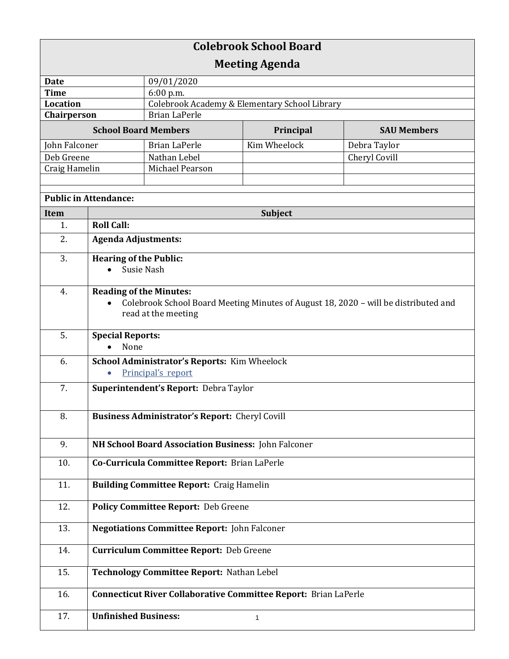| <b>Colebrook School Board</b> |                                                                                     |                                                     |              |                    |  |  |
|-------------------------------|-------------------------------------------------------------------------------------|-----------------------------------------------------|--------------|--------------------|--|--|
| <b>Meeting Agenda</b>         |                                                                                     |                                                     |              |                    |  |  |
| <b>Date</b>                   |                                                                                     | 09/01/2020                                          |              |                    |  |  |
| <b>Time</b>                   |                                                                                     | 6:00 p.m.                                           |              |                    |  |  |
| <b>Location</b>               |                                                                                     | Colebrook Academy & Elementary School Library       |              |                    |  |  |
| Chairperson                   |                                                                                     | <b>Brian LaPerle</b>                                |              |                    |  |  |
| <b>School Board Members</b>   |                                                                                     |                                                     | Principal    | <b>SAU Members</b> |  |  |
| John Falconer                 |                                                                                     | <b>Brian LaPerle</b>                                | Kim Wheelock | Debra Taylor       |  |  |
| Deb Greene                    |                                                                                     | Nathan Lebel                                        |              | Cheryl Covill      |  |  |
| Craig Hamelin                 |                                                                                     | Michael Pearson                                     |              |                    |  |  |
|                               |                                                                                     |                                                     |              |                    |  |  |
| <b>Public in Attendance:</b>  |                                                                                     |                                                     |              |                    |  |  |
| Item                          |                                                                                     | Subject                                             |              |                    |  |  |
| 1.                            | <b>Roll Call:</b>                                                                   |                                                     |              |                    |  |  |
| 2.                            | <b>Agenda Adjustments:</b>                                                          |                                                     |              |                    |  |  |
| 3.                            | <b>Hearing of the Public:</b>                                                       |                                                     |              |                    |  |  |
|                               | Susie Nash                                                                          |                                                     |              |                    |  |  |
|                               |                                                                                     |                                                     |              |                    |  |  |
| 4.                            | <b>Reading of the Minutes:</b>                                                      |                                                     |              |                    |  |  |
|                               | Colebrook School Board Meeting Minutes of August 18, 2020 - will be distributed and |                                                     |              |                    |  |  |
|                               |                                                                                     | read at the meeting                                 |              |                    |  |  |
|                               |                                                                                     |                                                     |              |                    |  |  |
| 5.                            | <b>Special Reports:</b>                                                             |                                                     |              |                    |  |  |
|                               | None                                                                                |                                                     |              |                    |  |  |
| 6.                            |                                                                                     | School Administrator's Reports: Kim Wheelock        |              |                    |  |  |
|                               | Principal's report                                                                  |                                                     |              |                    |  |  |
| 7.                            |                                                                                     |                                                     |              |                    |  |  |
|                               | Superintendent's Report: Debra Taylor                                               |                                                     |              |                    |  |  |
|                               |                                                                                     |                                                     |              |                    |  |  |
| 8.                            | <b>Business Administrator's Report: Cheryl Covill</b>                               |                                                     |              |                    |  |  |
|                               |                                                                                     |                                                     |              |                    |  |  |
| 9.                            | NH School Board Association Business: John Falconer                                 |                                                     |              |                    |  |  |
|                               |                                                                                     |                                                     |              |                    |  |  |
| 10.                           |                                                                                     | Co-Curricula Committee Report: Brian LaPerle        |              |                    |  |  |
|                               |                                                                                     |                                                     |              |                    |  |  |
| 11.                           |                                                                                     | <b>Building Committee Report: Craig Hamelin</b>     |              |                    |  |  |
|                               |                                                                                     |                                                     |              |                    |  |  |
| 12.                           |                                                                                     | <b>Policy Committee Report: Deb Greene</b>          |              |                    |  |  |
| 13.                           |                                                                                     | <b>Negotiations Committee Report: John Falconer</b> |              |                    |  |  |
|                               |                                                                                     |                                                     |              |                    |  |  |
| 14.                           |                                                                                     |                                                     |              |                    |  |  |
|                               | <b>Curriculum Committee Report: Deb Greene</b>                                      |                                                     |              |                    |  |  |
| 15.                           | Technology Committee Report: Nathan Lebel                                           |                                                     |              |                    |  |  |
|                               |                                                                                     |                                                     |              |                    |  |  |
| 16.                           | <b>Connecticut River Collaborative Committee Report: Brian LaPerle</b>              |                                                     |              |                    |  |  |
|                               |                                                                                     |                                                     |              |                    |  |  |
| 17.                           | <b>Unfinished Business:</b>                                                         |                                                     | 1            |                    |  |  |
|                               |                                                                                     |                                                     |              |                    |  |  |